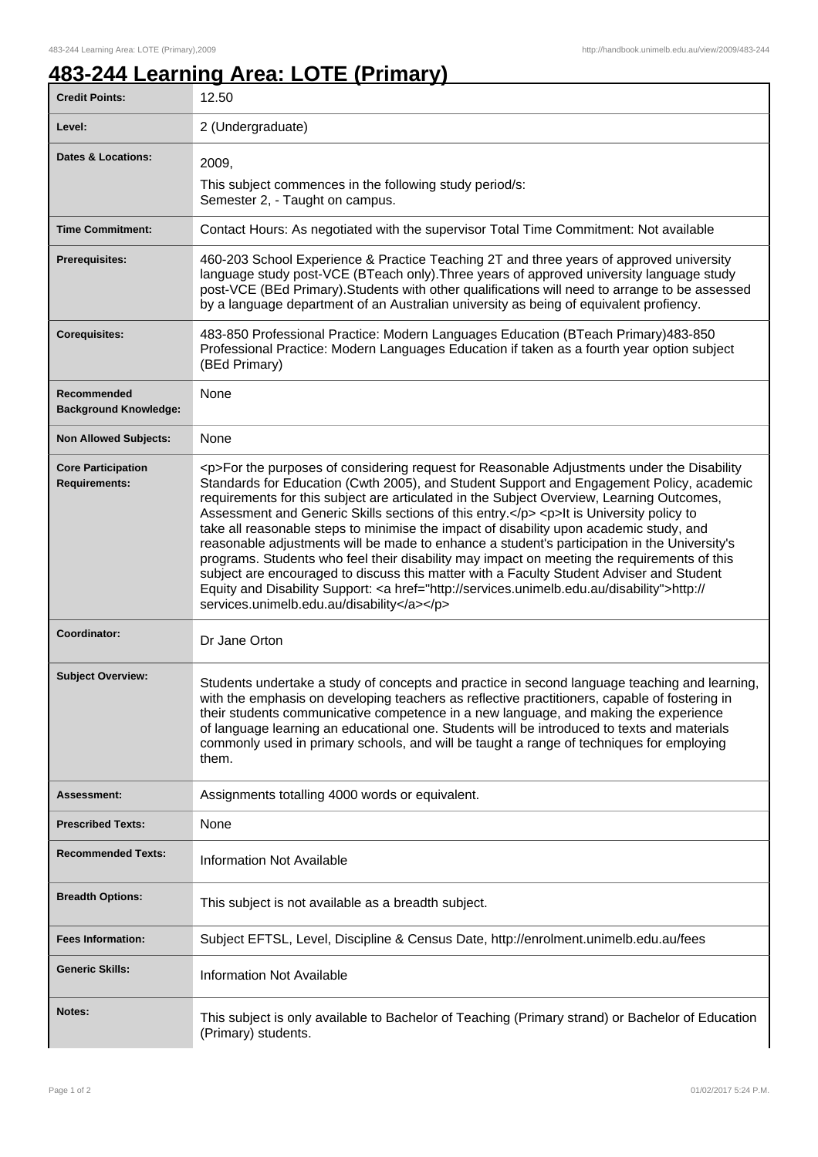٦

## **483-244 Learning Area: LOTE (Primary)**

| <b>Credit Points:</b>                             | 12.50                                                                                                                                                                                                                                                                                                                                                                                                                                                                                                                                                                                                                                                                                                                                                                                                                                                                                                                        |
|---------------------------------------------------|------------------------------------------------------------------------------------------------------------------------------------------------------------------------------------------------------------------------------------------------------------------------------------------------------------------------------------------------------------------------------------------------------------------------------------------------------------------------------------------------------------------------------------------------------------------------------------------------------------------------------------------------------------------------------------------------------------------------------------------------------------------------------------------------------------------------------------------------------------------------------------------------------------------------------|
| Level:                                            | 2 (Undergraduate)                                                                                                                                                                                                                                                                                                                                                                                                                                                                                                                                                                                                                                                                                                                                                                                                                                                                                                            |
| <b>Dates &amp; Locations:</b>                     | 2009,                                                                                                                                                                                                                                                                                                                                                                                                                                                                                                                                                                                                                                                                                                                                                                                                                                                                                                                        |
|                                                   | This subject commences in the following study period/s:<br>Semester 2, - Taught on campus.                                                                                                                                                                                                                                                                                                                                                                                                                                                                                                                                                                                                                                                                                                                                                                                                                                   |
| <b>Time Commitment:</b>                           | Contact Hours: As negotiated with the supervisor Total Time Commitment: Not available                                                                                                                                                                                                                                                                                                                                                                                                                                                                                                                                                                                                                                                                                                                                                                                                                                        |
| <b>Prerequisites:</b>                             | 460-203 School Experience & Practice Teaching 2T and three years of approved university<br>language study post-VCE (BTeach only). Three years of approved university language study<br>post-VCE (BEd Primary). Students with other qualifications will need to arrange to be assessed<br>by a language department of an Australian university as being of equivalent profiency.                                                                                                                                                                                                                                                                                                                                                                                                                                                                                                                                              |
| <b>Corequisites:</b>                              | 483-850 Professional Practice: Modern Languages Education (BTeach Primary)483-850<br>Professional Practice: Modern Languages Education if taken as a fourth year option subject<br>(BEd Primary)                                                                                                                                                                                                                                                                                                                                                                                                                                                                                                                                                                                                                                                                                                                             |
| Recommended<br><b>Background Knowledge:</b>       | None                                                                                                                                                                                                                                                                                                                                                                                                                                                                                                                                                                                                                                                                                                                                                                                                                                                                                                                         |
| <b>Non Allowed Subjects:</b>                      | None                                                                                                                                                                                                                                                                                                                                                                                                                                                                                                                                                                                                                                                                                                                                                                                                                                                                                                                         |
| <b>Core Participation</b><br><b>Requirements:</b> | <p>For the purposes of considering request for Reasonable Adjustments under the Disability<br/>Standards for Education (Cwth 2005), and Student Support and Engagement Policy, academic<br/>requirements for this subject are articulated in the Subject Overview, Learning Outcomes,<br/>Assessment and Generic Skills sections of this entry.</p> <p>lt is University policy to<br/>take all reasonable steps to minimise the impact of disability upon academic study, and<br/>reasonable adjustments will be made to enhance a student's participation in the University's<br/>programs. Students who feel their disability may impact on meeting the requirements of this<br/>subject are encouraged to discuss this matter with a Faculty Student Adviser and Student<br/>Equity and Disability Support: &lt; a href="http://services.unimelb.edu.au/disability"&gt;http://<br/>services.unimelb.edu.au/disability</p> |
| Coordinator:                                      | Dr Jane Orton                                                                                                                                                                                                                                                                                                                                                                                                                                                                                                                                                                                                                                                                                                                                                                                                                                                                                                                |
| <b>Subject Overview:</b>                          | Students undertake a study of concepts and practice in second language teaching and learning,<br>with the emphasis on developing teachers as reflective practitioners, capable of fostering in<br>their students communicative competence in a new language, and making the experience<br>of language learning an educational one. Students will be introduced to texts and materials<br>commonly used in primary schools, and will be taught a range of techniques for employing<br>them.                                                                                                                                                                                                                                                                                                                                                                                                                                   |
| <b>Assessment:</b>                                | Assignments totalling 4000 words or equivalent.                                                                                                                                                                                                                                                                                                                                                                                                                                                                                                                                                                                                                                                                                                                                                                                                                                                                              |
| <b>Prescribed Texts:</b>                          | None                                                                                                                                                                                                                                                                                                                                                                                                                                                                                                                                                                                                                                                                                                                                                                                                                                                                                                                         |
| <b>Recommended Texts:</b>                         | <b>Information Not Available</b>                                                                                                                                                                                                                                                                                                                                                                                                                                                                                                                                                                                                                                                                                                                                                                                                                                                                                             |
| <b>Breadth Options:</b>                           | This subject is not available as a breadth subject.                                                                                                                                                                                                                                                                                                                                                                                                                                                                                                                                                                                                                                                                                                                                                                                                                                                                          |
| <b>Fees Information:</b>                          | Subject EFTSL, Level, Discipline & Census Date, http://enrolment.unimelb.edu.au/fees                                                                                                                                                                                                                                                                                                                                                                                                                                                                                                                                                                                                                                                                                                                                                                                                                                         |
| <b>Generic Skills:</b>                            | <b>Information Not Available</b>                                                                                                                                                                                                                                                                                                                                                                                                                                                                                                                                                                                                                                                                                                                                                                                                                                                                                             |
| Notes:                                            | This subject is only available to Bachelor of Teaching (Primary strand) or Bachelor of Education<br>(Primary) students.                                                                                                                                                                                                                                                                                                                                                                                                                                                                                                                                                                                                                                                                                                                                                                                                      |